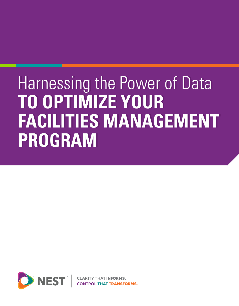# Harnessing the Power of Data Harnessing the Power of Data **TO OPTIMIZE YOUR TO OPTIMIZE YOUR FACILITIES MANAGEMENT FACILITIES MANAGEMENT PROGRAM PROGRAM**

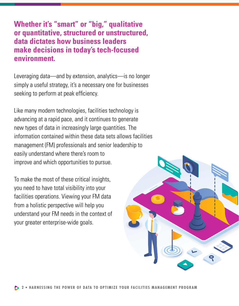**Whether it's "smart" or "big," qualitative or quantitative, structured or unstructured, data dictates how business leaders make decisions in today's tech-focused environment.**

Leveraging data—and by extension, analytics—is no longer simply a useful strategy, it's a necessary one for businesses seeking to perform at peak efficiency.

Like many modern technologies, facilities technology is advancing at a rapid pace, and it continues to generate new types of data in increasingly large quantities. The information contained within these data sets allows facilities management (FM) professionals and senior leadership to easily understand where there's room to improve and which opportunities to pursue.

To make the most of these critical insights, you need to have total visibility into your facilities operations. Viewing your FM data from a holistic perspective will help you understand your FM needs in the context of your greater enterprise-wide goals.

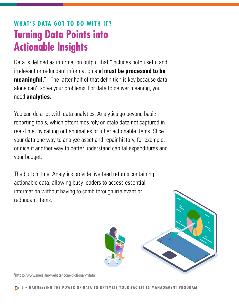# **WHAT'S DATA GOT TO DO WITH IT? Turning Data Points into Actionable Insights**

Data is defined as information output that "includes both useful and irrelevant or redundant information and **must be processed to be meaningful.**"<sup>1</sup> The latter half of that definition is key because data alone can't solve your problems. For data to deliver meaning, you need **analytics.**

You can do a lot with data analytics. Analytics go beyond basic reporting tools, which oftentimes rely on stale data not captured in real-time, by calling out anomalies or other actionable items. Slice your data one way to analyze asset and repair history, for example, or dice it another way to better understand capital expenditures and your budget.

The bottom line: Analytics provide live feed returns containing actionable data, allowing busy leaders to access essential information without having to comb through irrelevant or redundant items.



1 https://www.merriam-webster.com/dictionary/data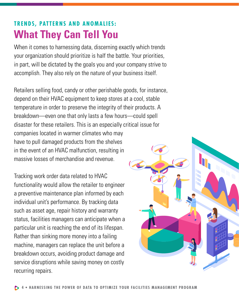# **TRENDS, PATTERNS AND ANOMALIES: What They Can Tell You**

When it comes to harnessing data, discerning exactly which trends your organization should prioritize is half the battle. Your priorities, in part, will be dictated by the goals you and your company strive to accomplish. They also rely on the nature of your business itself.

Retailers selling food, candy or other perishable goods, for instance, depend on their HVAC equipment to keep stores at a cool, stable temperature in order to preserve the integrity of their products. A breakdown—even one that only lasts a few hours—could spell disaster for these retailers. This is an especially critical issue for companies located in warmer climates who may have to pull damaged products from the shelves in the event of an HVAC malfunction, resulting in massive losses of merchandise and revenue.

Tracking work order data related to HVAC functionality would allow the retailer to engineer a preventive maintenance plan informed by each individual unit's performance. By tracking data such as asset age, repair history and warranty status, facilities managers can anticipate when a particular unit is reaching the end of its lifespan. Rather than sinking more money into a failing machine, managers can replace the unit before a breakdown occurs, avoiding product damage and service disruptions while saving money on costly recurring repairs.

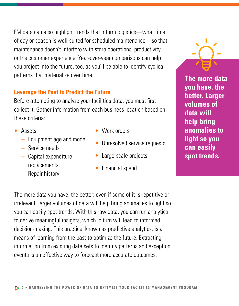FM data can also highlight trends that inform logistics—what time of day or season is well-suited for scheduled maintenance—so that maintenance doesn't interfere with store operations, productivity or the customer experience. Year-over-year comparisons can help you project into the future, too, as you'll be able to identify cyclical patterns that materialize over time.

#### **Leverage the Past to Predict the Future**

Before attempting to analyze your facilities data, you must first collect it. Gather information from each business location based on these criteria:

- Assets
	- **–** Equipment age and model
	- **–** Service needs
	- **–** Capital expenditure replacements
	- **–** Repair history
- Work orders
- Unresolved service requests
- Large-scale projects
- Financial spend

**The more data you have, the better. Larger volumes of data will help bring anomalies to light so you can easily spot trends.**

The more data you have, the better; even if some of it is repetitive or irrelevant, larger volumes of data will help bring anomalies to light so you can easily spot trends. With this raw data, you can run analytics to derive meaningful insights, which in turn will lead to informed decision-making. This practice, known as predictive analytics, is a means of learning from the past to optimize the future. Extracting information from existing data sets to identify patterns and exception events is an effective way to forecast more accurate outcomes.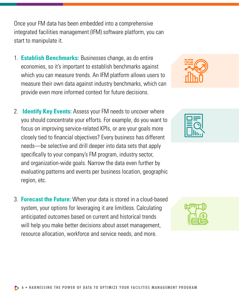Once your FM data has been embedded into a comprehensive integrated facilities management (IFM) software platform, you can start to manipulate it.

- 1. **Establish Benchmarks:** Businesses change, as do entire economies, so it's important to establish benchmarks against which you can measure trends. An IFM platform allows users to measure their own data against industry benchmarks, which can provide even more informed context for future decisions.
- 2. **Identify Key Events:** Assess your FM needs to uncover where you should concentrate your efforts. For example, do you want to focus on improving service-related KPIs, or are your goals more closely tied to financial objectives? Every business has different needs—be selective and drill deeper into data sets that apply specifically to your company's FM program, industry sector, and organization-wide goals. Narrow the data even further by evaluating patterns and events per business location, geographic region, etc.
- 3. **Forecast the Future:** When your data is stored in a cloud-based system, your options for leveraging it are limitless. Calculating anticipated outcomes based on current and historical trends will help you make better decisions about asset management, resource allocation, workforce and service needs, and more.





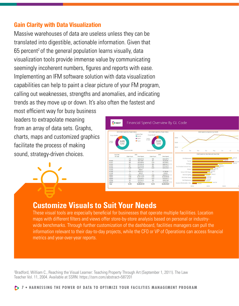### **Gain Clarity with Data Visualization**

Massive warehouses of data are useless unless they can be translated into digestible, actionable information. Given that  $65$  percent<sup>2</sup> of the general population learns visually, data visualization tools provide immense value by communicating seemingly incoherent numbers, figures and reports with ease. Implementing an IFM software solution with data visualization capabilities can help to paint a clear picture of your FM program, calling out weaknesses, strengths and anomalies, and indicating trends as they move up or down. It's also often the fastest and

most efficient way for busy business leaders to extrapolate meaning from an array of data sets. Graphs, charts, maps and customized graphics facilitate the process of making sound, strategy-driven choices.



## **Customize Visuals to Suit Your Needs**

These visual tools are especially beneficial for businesses that operate multiple facilities. Location maps with different filters and views offer store-by-store analysis based on personal or industrywide benchmarks. Through further customization of the dashboard, facilities managers can pull the information relevant to their day-to-day projects, while the CFO or VP of Operations can access financial metrics and year-over-year reports.

2 Bradford, William C., Reaching the Visual Learner: Teaching Property Through Art (September 1, 2011). The Law Teacher Vol. 11, 2004. Available at SSRN: https://ssrn.com/abstract=587201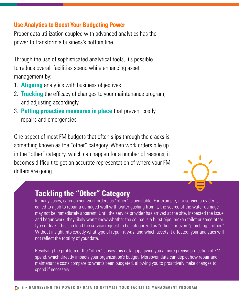#### **Use Analytics to Boost Your Budgeting Power**

Proper data utilization coupled with advanced analytics has the power to transform a business's bottom line.

Through the use of sophisticated analytical tools, it's possible to reduce overall facilities spend while enhancing asset management by:

- 1. **Aligning** analytics with business objectives
- 2. **Tracking** the efficacy of changes to your maintenance program, and adjusting accordingly
- 3. **Putting proactive measures in place** that prevent costly repairs and emergencies

One aspect of most FM budgets that often slips through the cracks is something known as the "other" category. When work orders pile up in the "other" category, which can happen for a number of reasons, it becomes difficult to get an accurate representation of where your FM dollars are going.



## **Tackling the "Other" Category**

In many cases, categorizing work orders as "other" is avoidable. For example, if a service provider is called to a job to repair a damaged wall with water gushing from it, the source of the water damage may not be immediately apparent. Until the service provider has arrived at the site, inspected the issue and begun work, they likely won't know whether the source is a burst pipe, broken toilet or some other type of leak. This can lead the service request to be categorized as "other," or even "plumbing – other." Without insight into exactly what type of repair it was, and which assets it affected, your analytics will not reflect the totality of your data.

Resolving the problem of the "other" closes this data gap, giving you a more precise projection of FM spend, which directly impacts your organization's budget. Moreover, data can depict how repair and maintenance costs compare to what's been budgeted, allowing you to proactively make changes to spend if necessary.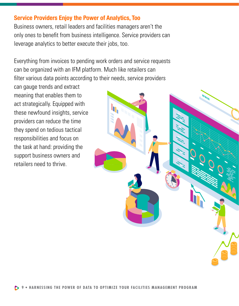#### **Service Providers Enjoy the Power of Analytics, Too**

Business owners, retail leaders and facilities managers aren't the only ones to benefit from business intelligence. Service providers can leverage analytics to better execute their jobs, too.

Everything from invoices to pending work orders and service requests can be organized with an IFM platform. Much like retailers can filter various data points according to their needs, service providers

can gauge trends and extract meaning that enables them to act strategically. Equipped with these newfound insights, service providers can reduce the time they spend on tedious tactical responsibilities and focus on the task at hand: providing the support business owners and retailers need to thrive.